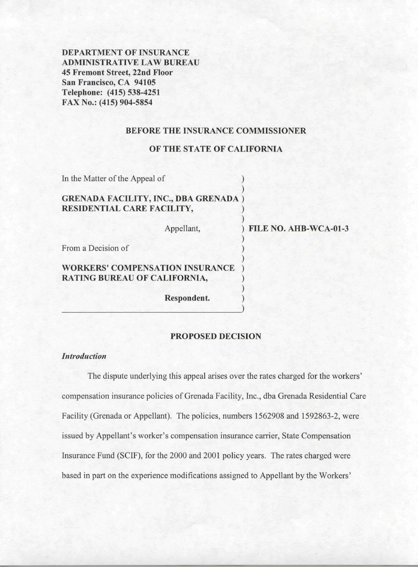**DEPARTMENT OF INSURANCE ADMINISTRATIVE LAW BUREAU 45 Fremont Street, 22nd Floor San Francisco, CA 94105 Telephone: (415) 538-4251 FAX No.: (415) 904-5854** 

### **BEFORE THE INSURANCE COMMISSIONER**

### **OF THE STATE OF CALIFORNIA**

| In the Matter of the Appeal of                                             |             |                       |
|----------------------------------------------------------------------------|-------------|-----------------------|
| <b>GRENADA FACILITY, INC., DBA GRENADA</b> )<br>RESIDENTIAL CARE FACILITY, |             |                       |
|                                                                            | Appellant,  | FILE NO. AHB-WCA-01-3 |
| From a Decision of                                                         |             |                       |
| <b>WORKERS' COMPENSATION INSURANCE</b><br>RATING BUREAU OF CALIFORNIA,     |             |                       |
|                                                                            | Respondent. |                       |

# **PROPOSED DECISION**

## *Introduction*

The dispute underlying this appeal arises over the rates charged for the workers' compensation insurance policies of Grenada Facility, Inc., dba Grenada Residential Care Facility (Grenada or Appellant). The policies, numbers 1562908 and 1592863-2, were issued by Appellant's worker's compensation insurance carrier, State Compensation Insurance Fund (SCIF), for the 2000 and 2001 policy years. The rates charged were based in part on the experience modifications assigned to Appellant by the Workers'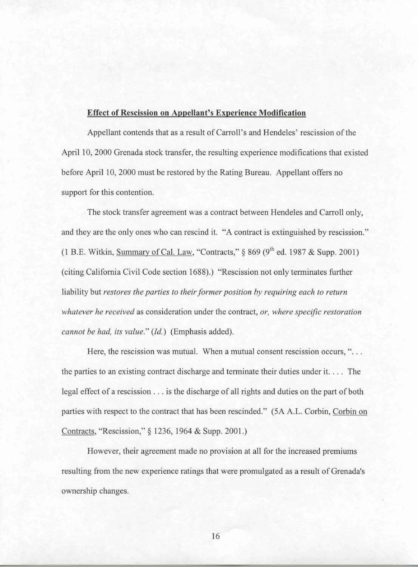### **Effect of Rescission on Appellant's Experience Modification**

Appellant contends that as a result of Carroll's and Hendeles' rescission of the April 10, 2000 Grenada stock transfer, the resulting experience modifications that existed before April 10, 2000 must be restored by the Rating Bureau. Appellant offers no support for this contention.

The stock transfer agreement was a contract between Hendeles and Carroll only, and they are the only ones who can rescind it. "A contract is extinguished by rescission." (1 B.E. Witkin, Summary of Cal. Law, "Contracts,"  $\frac{869}{9^h}$  ed. 1987 & Supp. 2001) (citing California Civil Code section 1688).) "Rescission not only terminates further liability but *restores the parties to their former position by requiring each to return whatever he received* as consideration under the contract, *or, where specific restoration cannot be had, its value." (Id.)* (Emphasis added).

Here, the rescission was mutual. When a mutual consent rescission occurs,  $\cdot \cdot$ ... the parties to an existing contract discharge and terminate their duties under it. . . . The legal effect of a rescission  $\ldots$  is the discharge of all rights and duties on the part of both parties with respect to the contract that has been rescinded." (5A A.L. Corbin, Corbin on Contracts, "Rescission,"§ 1236, 1964 & Supp. 2001.)

However, their agreement made no provision at all for the increased premiums resulting from the new experience ratings that were promulgated as a result of Grenada's ownership changes.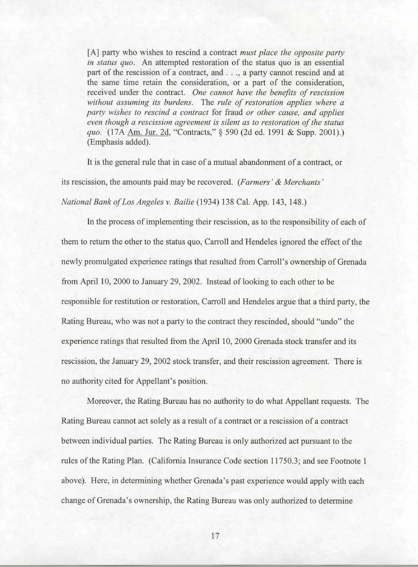[A] party who wishes to rescind a contract *must place the opposite party in status quo.* An attempted restoration of the status quo is an essential part of the rescission of a contract, and ..., a party cannot rescind and at the same time retain the consideration, or a part of the consideration, received under the contract. *One cannot have the benefits of rescission without assuming its burdens.* The *rule of restoration applies where a party wishes to rescind a contract* for fraud *or other cause, and applies even though a rescission agreement is silent as to restoration of the status quo.* (17A Am. Jur. 2d, "Contracts,"§ 590 (2d ed. 1991 & Supp. 2001).) (Emphasis added).

It is the general rule that in case of a mutual abandonment of a contract, or its rescission, the amounts paid may be recovered. *(Farmers' & Merchants' National Bank ofLos Angeles v. Bailie* (1934) 138 Cal. App. 143, 148.)

In the process of implementing their rescission, as to the responsibility of each of them to return the other to the status quo, Carroll and Hendeles ignored the effect of the newly promulgated experience ratings that resulted from Carroll's ownership of Grenada from April 10, 2000 to January 29, 2002. Instead of looking to each other to be responsible for restitution or restoration, Carroll and Hendeles argue that a third party, the Rating Bureau, who was not a party to the contract they rescinded, should "undo" the experience ratings that resulted from the April 10, 2000 Grenada stock transfer and its rescission, the January 29, 2002 stock transfer, and their rescission agreement. There is no authority cited for Appellant's position.

Moreover, the Rating Bureau has no authority to do what Appellant requests. The Rating Bureau cannot act solely as a result of a contract or a rescission of a contract between individual parties. The Rating Bureau is only authorized act pursuant to the rules of the Rating Plan. (California Insurance Code section 11750.3; and see Footnote 1 above). Here, in determining whether Grenada's past experience would apply with each change of Grenada' s ownership, the Rating Bureau was only authorized to determine

17